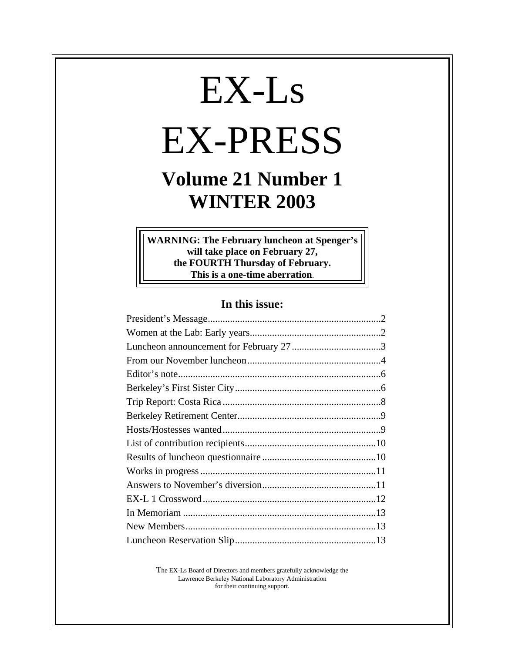# EX-Ls EX-PRESS

## **Volume 21 Number 1 WINTER 2003**

**WARNING: The February luncheon at Spenger's will take place on February 27, the FOURTH Thursday of February. This is a one-time aberration**.

#### **In this issue:**

The EX-Ls Board of Directors and members gratefully acknowledge the Lawrence Berkeley National Laboratory Administration for their continuing support.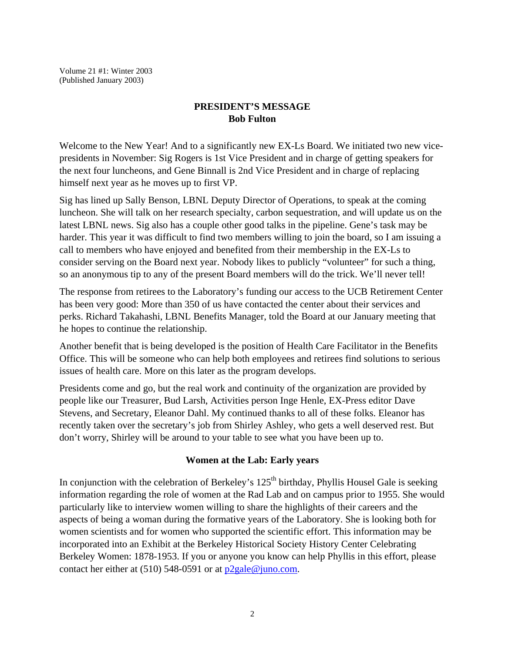Volume 21 #1: Winter 2003 (Published January 2003)

#### **PRESIDENT'S MESSAGE Bob Fulton**

Welcome to the New Year! And to a significantly new EX-Ls Board. We initiated two new vicepresidents in November: Sig Rogers is 1st Vice President and in charge of getting speakers for the next four luncheons, and Gene Binnall is 2nd Vice President and in charge of replacing himself next year as he moves up to first VP.

Sig has lined up Sally Benson, LBNL Deputy Director of Operations, to speak at the coming luncheon. She will talk on her research specialty, carbon sequestration, and will update us on the latest LBNL news. Sig also has a couple other good talks in the pipeline. Gene's task may be harder. This year it was difficult to find two members willing to join the board, so I am issuing a call to members who have enjoyed and benefited from their membership in the EX-Ls to consider serving on the Board next year. Nobody likes to publicly "volunteer" for such a thing, so an anonymous tip to any of the present Board members will do the trick. We'll never tell!

The response from retirees to the Laboratory's funding our access to the UCB Retirement Center has been very good: More than 350 of us have contacted the center about their services and perks. Richard Takahashi, LBNL Benefits Manager, told the Board at our January meeting that he hopes to continue the relationship.

Another benefit that is being developed is the position of Health Care Facilitator in the Benefits Office. This will be someone who can help both employees and retirees find solutions to serious issues of health care. More on this later as the program develops.

Presidents come and go, but the real work and continuity of the organization are provided by people like our Treasurer, Bud Larsh, Activities person Inge Henle, EX-Press editor Dave Stevens, and Secretary, Eleanor Dahl. My continued thanks to all of these folks. Eleanor has recently taken over the secretary's job from Shirley Ashley, who gets a well deserved rest. But don't worry, Shirley will be around to your table to see what you have been up to.

#### **Women at the Lab: Early years**

In conjunction with the celebration of Berkeley's  $125<sup>th</sup>$  birthday, Phyllis Housel Gale is seeking information regarding the role of women at the Rad Lab and on campus prior to 1955. She would particularly like to interview women willing to share the highlights of their careers and the aspects of being a woman during the formative years of the Laboratory. She is looking both for women scientists and for women who supported the scientific effort. This information may be incorporated into an Exhibit at the Berkeley Historical Society History Center Celebrating Berkeley Women: 1878-1953. If you or anyone you know can help Phyllis in this effort, please contact her either at (510) 548-0591 or at  $p2$ gale@juno.com.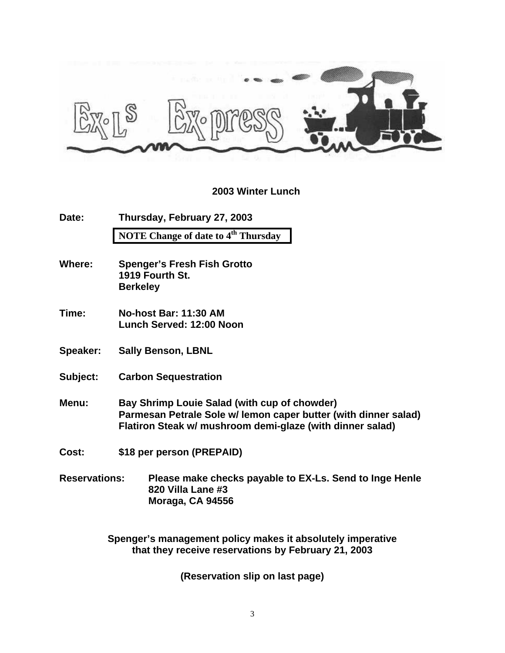

#### **2003 Winter Lunch**

| Date: | Thursday, February 27, 2003                     |
|-------|-------------------------------------------------|
|       | NOTE Change of date to 4 <sup>th</sup> Thursday |

- **Where: Spenger's Fresh Fish Grotto 1919 Fourth St. Berkeley**
- **Time: No-host Bar: 11:30 AM Lunch Served: 12:00 Noon**
- **Speaker: Sally Benson, LBNL**
- **Subject: Carbon Sequestration**
- **Menu: Bay Shrimp Louie Salad (with cup of chowder) Parmesan Petrale Sole w/ lemon caper butter (with dinner salad) Flatiron Steak w/ mushroom demi-glaze (with dinner salad)**
- **Cost: \$18 per person (PREPAID)**
- **Reservations: Please make checks payable to EX-Ls. Send to Inge Henle 820 Villa Lane #3 Moraga, CA 94556**

**Spenger's management policy makes it absolutely imperative that they receive reservations by February 21, 2003**

**(Reservation slip on last page)**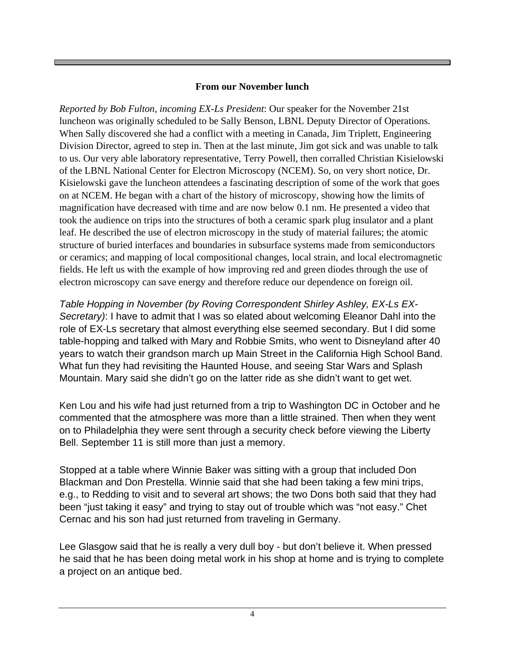#### **From our November lunch**

*Reported by Bob Fulton, incoming EX-Ls President*: Our speaker for the November 21st luncheon was originally scheduled to be Sally Benson, LBNL Deputy Director of Operations. When Sally discovered she had a conflict with a meeting in Canada, Jim Triplett, Engineering Division Director, agreed to step in. Then at the last minute, Jim got sick and was unable to talk to us. Our very able laboratory representative, Terry Powell, then corralled Christian Kisielowski of the LBNL National Center for Electron Microscopy (NCEM). So, on very short notice, Dr. Kisielowski gave the luncheon attendees a fascinating description of some of the work that goes on at NCEM. He began with a chart of the history of microscopy, showing how the limits of magnification have decreased with time and are now below 0.1 nm. He presented a video that took the audience on trips into the structures of both a ceramic spark plug insulator and a plant leaf. He described the use of electron microscopy in the study of material failures; the atomic structure of buried interfaces and boundaries in subsurface systems made from semiconductors or ceramics; and mapping of local compositional changes, local strain, and local electromagnetic fields. He left us with the example of how improving red and green diodes through the use of electron microscopy can save energy and therefore reduce our dependence on foreign oil.

*Table Hopping in November (by Roving Correspondent Shirley Ashley, EX-Ls EX-Secretary)*: I have to admit that I was so elated about welcoming Eleanor Dahl into the role of EX-Ls secretary that almost everything else seemed secondary. But I did some table-hopping and talked with Mary and Robbie Smits, who went to Disneyland after 40 years to watch their grandson march up Main Street in the California High School Band. What fun they had revisiting the Haunted House, and seeing Star Wars and Splash Mountain. Mary said she didn't go on the latter ride as she didn't want to get wet.

Ken Lou and his wife had just returned from a trip to Washington DC in October and he commented that the atmosphere was more than a little strained. Then when they went on to Philadelphia they were sent through a security check before viewing the Liberty Bell. September 11 is still more than just a memory.

Stopped at a table where Winnie Baker was sitting with a group that included Don Blackman and Don Prestella. Winnie said that she had been taking a few mini trips, e.g., to Redding to visit and to several art shows; the two Dons both said that they had been "just taking it easy" and trying to stay out of trouble which was "not easy." Chet Cernac and his son had just returned from traveling in Germany.

Lee Glasgow said that he is really a very dull boy - but don't believe it. When pressed he said that he has been doing metal work in his shop at home and is trying to complete a project on an antique bed.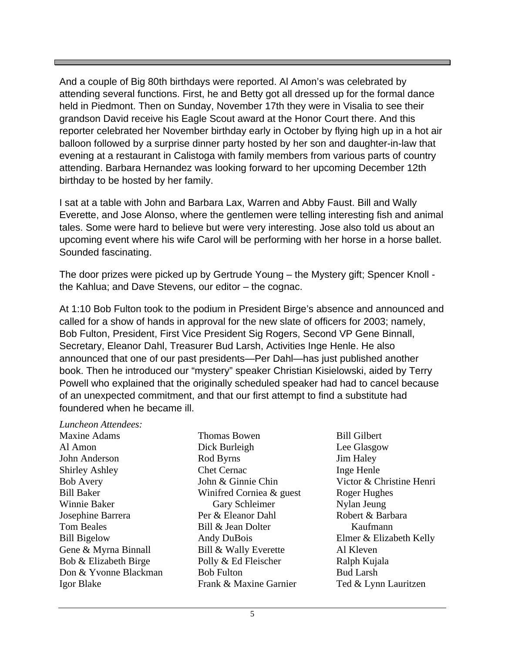And a couple of Big 80th birthdays were reported. Al Amon's was celebrated by attending several functions. First, he and Betty got all dressed up for the formal dance held in Piedmont. Then on Sunday, November 17th they were in Visalia to see their grandson David receive his Eagle Scout award at the Honor Court there. And this reporter celebrated her November birthday early in October by flying high up in a hot air balloon followed by a surprise dinner party hosted by her son and daughter-in-law that evening at a restaurant in Calistoga with family members from various parts of country attending. Barbara Hernandez was looking forward to her upcoming December 12th birthday to be hosted by her family.

I sat at a table with John and Barbara Lax, Warren and Abby Faust. Bill and Wally Everette, and Jose Alonso, where the gentlemen were telling interesting fish and animal tales. Some were hard to believe but were very interesting. Jose also told us about an upcoming event where his wife Carol will be performing with her horse in a horse ballet. Sounded fascinating.

The door prizes were picked up by Gertrude Young – the Mystery gift; Spencer Knoll the Kahlua; and Dave Stevens, our editor – the cognac.

At 1:10 Bob Fulton took to the podium in President Birge's absence and announced and called for a show of hands in approval for the new slate of officers for 2003; namely, Bob Fulton, President, First Vice President Sig Rogers, Second VP Gene Binnall, Secretary, Eleanor Dahl, Treasurer Bud Larsh, Activities Inge Henle. He also announced that one of our past presidents—Per Dahl—has just published another book. Then he introduced our "mystery" speaker Christian Kisielowski, aided by Terry Powell who explained that the originally scheduled speaker had had to cancel because of an unexpected commitment, and that our first attempt to find a substitute had foundered when he became ill.

*Luncheon Attendees:* Maxine Adams Al Amon John Anderson Shirley Ashley Bob Avery Bill Baker Winnie Baker Josephine Barrera Tom Beales Bill Bigelow Gene & Myrna Binnall Bob & Elizabeth Birge Don & Yvonne Blackman Igor Blake

Thomas Bowen Dick Burleigh Rod Byrns Chet Cernac John & Ginnie Chin Winifred Corniea & guest Gary Schleimer Per & Eleanor Dahl Bill & Jean Dolter Andy DuBois Bill & Wally Everette Polly & Ed Fleischer Bob Fulton Frank & Maxine Garnier

Bill Gilbert Lee Glasgow Jim Haley Inge Henle Victor & Christine Henri Roger Hughes Nylan Jeung Robert & Barbara Kaufmann Elmer & Elizabeth Kelly Al Kleven Ralph Kujala Bud Larsh Ted & Lynn Lauritzen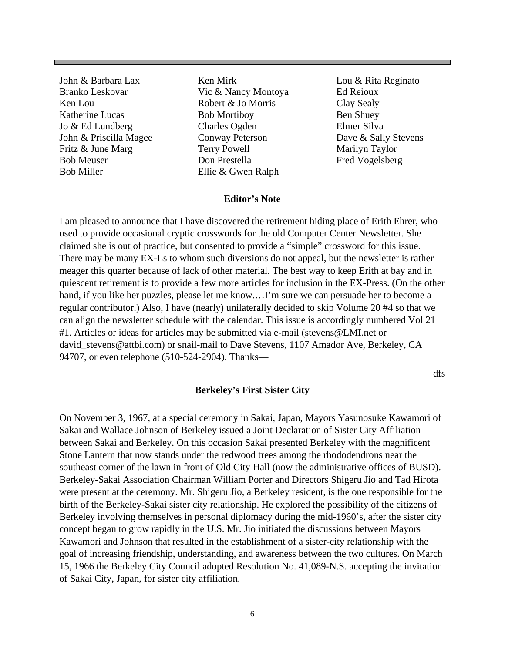John & Barbara Lax Branko Leskovar Ken Lou Katherine Lucas Jo & Ed Lundberg John & Priscilla Magee Fritz & June Marg Bob Meuser Bob Miller

Ken Mirk Vic & Nancy Montoya Robert & Jo Morris Bob Mortiboy Charles Ogden Conway Peterson Terry Powell Don Prestella Ellie & Gwen Ralph

Lou & Rita Reginato Ed Reioux Clay Sealy Ben Shuey Elmer Silva Dave & Sally Stevens Marilyn Taylor Fred Vogelsberg

#### **Editor's Note**

I am pleased to announce that I have discovered the retirement hiding place of Erith Ehrer, who used to provide occasional cryptic crosswords for the old Computer Center Newsletter. She claimed she is out of practice, but consented to provide a "simple" crossword for this issue. There may be many EX-Ls to whom such diversions do not appeal, but the newsletter is rather meager this quarter because of lack of other material. The best way to keep Erith at bay and in quiescent retirement is to provide a few more articles for inclusion in the EX-Press. (On the other hand, if you like her puzzles, please let me know.…I'm sure we can persuade her to become a regular contributor.) Also, I have (nearly) unilaterally decided to skip Volume 20 #4 so that we can align the newsletter schedule with the calendar. This issue is accordingly numbered Vol 21 #1. Articles or ideas for articles may be submitted via e-mail (stevens@LMI.net or david stevens@attbi.com) or snail-mail to Dave Stevens, 1107 Amador Ave, Berkeley, CA 94707, or even telephone (510-524-2904). Thanks—

dfs

#### **Berkeley's First Sister City**

On November 3, 1967, at a special ceremony in Sakai, Japan, Mayors Yasunosuke Kawamori of Sakai and Wallace Johnson of Berkeley issued a Joint Declaration of Sister City Affiliation between Sakai and Berkeley. On this occasion Sakai presented Berkeley with the magnificent Stone Lantern that now stands under the redwood trees among the rhododendrons near the southeast corner of the lawn in front of Old City Hall (now the administrative offices of BUSD). Berkeley-Sakai Association Chairman William Porter and Directors Shigeru Jio and Tad Hirota were present at the ceremony. Mr. Shigeru Jio, a Berkeley resident, is the one responsible for the birth of the Berkeley-Sakai sister city relationship. He explored the possibility of the citizens of Berkeley involving themselves in personal diplomacy during the mid-1960's, after the sister city concept began to grow rapidly in the U.S. Mr. Jio initiated the discussions between Mayors Kawamori and Johnson that resulted in the establishment of a sister-city relationship with the goal of increasing friendship, understanding, and awareness between the two cultures. On March 15, 1966 the Berkeley City Council adopted Resolution No. 41,089-N.S. accepting the invitation of Sakai City, Japan, for sister city affiliation.

6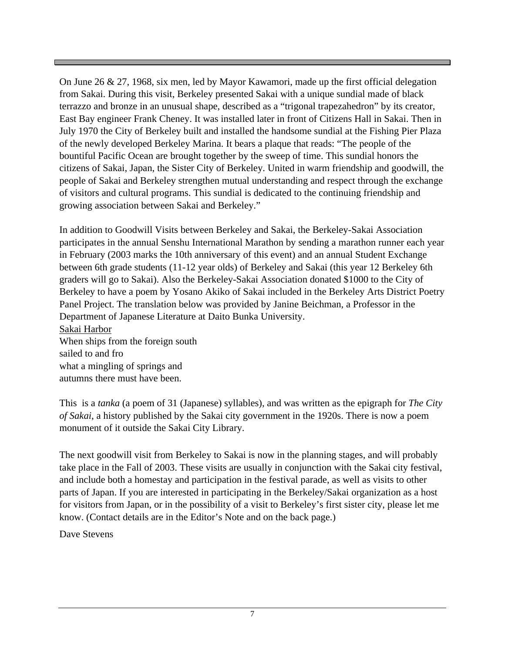On June 26 & 27, 1968, six men, led by Mayor Kawamori, made up the first official delegation from Sakai. During this visit, Berkeley presented Sakai with a unique sundial made of black terrazzo and bronze in an unusual shape, described as a "trigonal trapezahedron" by its creator, East Bay engineer Frank Cheney. It was installed later in front of Citizens Hall in Sakai. Then in July 1970 the City of Berkeley built and installed the handsome sundial at the Fishing Pier Plaza of the newly developed Berkeley Marina. It bears a plaque that reads: "The people of the bountiful Pacific Ocean are brought together by the sweep of time. This sundial honors the citizens of Sakai, Japan, the Sister City of Berkeley. United in warm friendship and goodwill, the people of Sakai and Berkeley strengthen mutual understanding and respect through the exchange of visitors and cultural programs. This sundial is dedicated to the continuing friendship and growing association between Sakai and Berkeley."

In addition to Goodwill Visits between Berkeley and Sakai, the Berkeley-Sakai Association participates in the annual Senshu International Marathon by sending a marathon runner each year in February (2003 marks the 10th anniversary of this event) and an annual Student Exchange between 6th grade students (11-12 year olds) of Berkeley and Sakai (this year 12 Berkeley 6th graders will go to Sakai). Also the Berkeley-Sakai Association donated \$1000 to the City of Berkeley to have a poem by Yosano Akiko of Sakai included in the Berkeley Arts District Poetry Panel Project. The translation below was provided by Janine Beichman, a Professor in the Department of Japanese Literature at Daito Bunka University. Sakai Harbor When ships from the foreign south sailed to and fro

what a mingling of springs and

autumns there must have been.

This is a *tanka* (a poem of 31 (Japanese) syllables), and was written as the epigraph for *The City of Sakai*, a history published by the Sakai city government in the 1920s. There is now a poem monument of it outside the Sakai City Library.

The next goodwill visit from Berkeley to Sakai is now in the planning stages, and will probably take place in the Fall of 2003. These visits are usually in conjunction with the Sakai city festival, and include both a homestay and participation in the festival parade, as well as visits to other parts of Japan. If you are interested in participating in the Berkeley/Sakai organization as a host for visitors from Japan, or in the possibility of a visit to Berkeley's first sister city, please let me know. (Contact details are in the Editor's Note and on the back page.)

Dave Stevens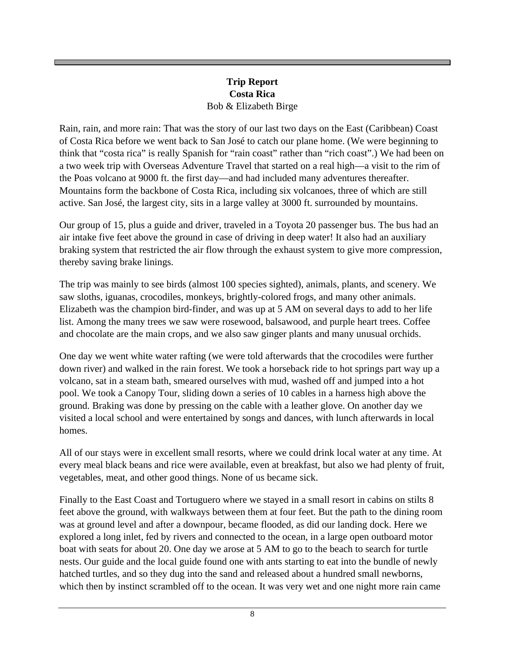#### **Trip Report Costa Rica** Bob & Elizabeth Birge

Rain, rain, and more rain: That was the story of our last two days on the East (Caribbean) Coast of Costa Rica before we went back to San José to catch our plane home. (We were beginning to think that "costa rica" is really Spanish for "rain coast" rather than "rich coast".) We had been on a two week trip with Overseas Adventure Travel that started on a real high—a visit to the rim of the Poas volcano at 9000 ft. the first day—and had included many adventures thereafter. Mountains form the backbone of Costa Rica, including six volcanoes, three of which are still active. San José, the largest city, sits in a large valley at 3000 ft. surrounded by mountains.

Our group of 15, plus a guide and driver, traveled in a Toyota 20 passenger bus. The bus had an air intake five feet above the ground in case of driving in deep water! It also had an auxiliary braking system that restricted the air flow through the exhaust system to give more compression, thereby saving brake linings.

The trip was mainly to see birds (almost 100 species sighted), animals, plants, and scenery. We saw sloths, iguanas, crocodiles, monkeys, brightly-colored frogs, and many other animals. Elizabeth was the champion bird-finder, and was up at 5 AM on several days to add to her life list. Among the many trees we saw were rosewood, balsawood, and purple heart trees. Coffee and chocolate are the main crops, and we also saw ginger plants and many unusual orchids.

One day we went white water rafting (we were told afterwards that the crocodiles were further down river) and walked in the rain forest. We took a horseback ride to hot springs part way up a volcano, sat in a steam bath, smeared ourselves with mud, washed off and jumped into a hot pool. We took a Canopy Tour, sliding down a series of 10 cables in a harness high above the ground. Braking was done by pressing on the cable with a leather glove. On another day we visited a local school and were entertained by songs and dances, with lunch afterwards in local homes.

All of our stays were in excellent small resorts, where we could drink local water at any time. At every meal black beans and rice were available, even at breakfast, but also we had plenty of fruit, vegetables, meat, and other good things. None of us became sick.

Finally to the East Coast and Tortuguero where we stayed in a small resort in cabins on stilts 8 feet above the ground, with walkways between them at four feet. But the path to the dining room was at ground level and after a downpour, became flooded, as did our landing dock. Here we explored a long inlet, fed by rivers and connected to the ocean, in a large open outboard motor boat with seats for about 20. One day we arose at 5 AM to go to the beach to search for turtle nests. Our guide and the local guide found one with ants starting to eat into the bundle of newly hatched turtles, and so they dug into the sand and released about a hundred small newborns, which then by instinct scrambled off to the ocean. It was very wet and one night more rain came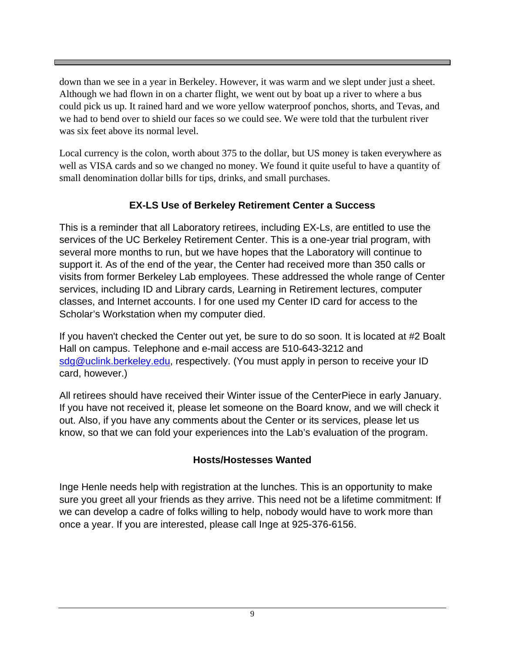down than we see in a year in Berkeley. However, it was warm and we slept under just a sheet. Although we had flown in on a charter flight, we went out by boat up a river to where a bus could pick us up. It rained hard and we wore yellow waterproof ponchos, shorts, and Tevas, and we had to bend over to shield our faces so we could see. We were told that the turbulent river was six feet above its normal level.

Local currency is the colon, worth about 375 to the dollar, but US money is taken everywhere as well as VISA cards and so we changed no money. We found it quite useful to have a quantity of small denomination dollar bills for tips, drinks, and small purchases.

#### **EX-LS Use of Berkeley Retirement Center a Success**

This is a reminder that all Laboratory retirees, including EX-Ls, are entitled to use the services of the UC Berkeley Retirement Center. This is a one-year trial program, with several more months to run, but we have hopes that the Laboratory will continue to support it. As of the end of the year, the Center had received more than 350 calls or visits from former Berkeley Lab employees. These addressed the whole range of Center services, including ID and Library cards, Learning in Retirement lectures, computer classes, and Internet accounts. I for one used my Center ID card for access to the Scholar's Workstation when my computer died.

If you haven't checked the Center out yet, be sure to do so soon. It is located at #2 Boalt Hall on campus. Telephone and e-mail access are 510-643-3212 and sdg@uclink.berkeley.edu, respectively. (You must apply in person to receive your ID card, however.)

All retirees should have received their Winter issue of the CenterPiece in early January. If you have not received it, please let someone on the Board know, and we will check it out. Also, if you have any comments about the Center or its services, please let us know, so that we can fold your experiences into the Lab's evaluation of the program.

#### **Hosts/Hostesses Wanted**

Inge Henle needs help with registration at the lunches. This is an opportunity to make sure you greet all your friends as they arrive. This need not be a lifetime commitment: If we can develop a cadre of folks willing to help, nobody would have to work more than once a year. If you are interested, please call Inge at 925-376-6156.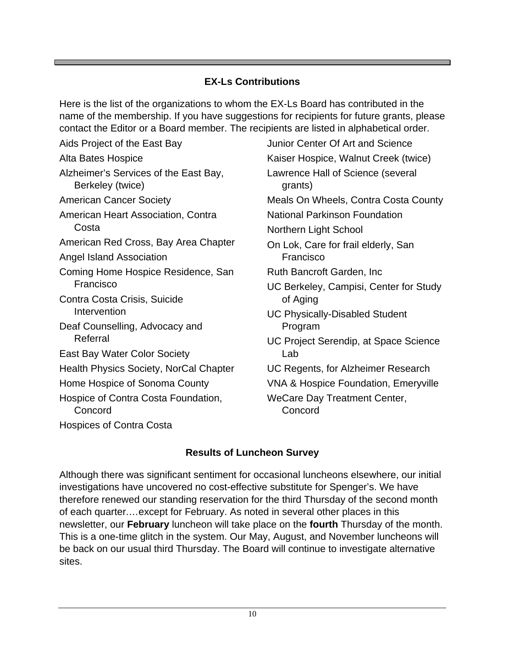#### **EX-Ls Contributions**

Here is the list of the organizations to whom the EX-Ls Board has contributed in the name of the membership. If you have suggestions for recipients for future grants, please contact the Editor or a Board member. The recipients are listed in alphabetical order.

Aids Project of the East Bay Alta Bates Hospice Alzheimer's Services of the East Bay, Berkeley (twice) American Cancer Society American Heart Association, Contra **Costa** American Red Cross, Bay Area Chapter Angel Island Association Coming Home Hospice Residence, San Francisco Contra Costa Crisis, Suicide **Intervention** Deaf Counselling, Advocacy and Referral East Bay Water Color Society Health Physics Society, NorCal Chapter Home Hospice of Sonoma County Hospice of Contra Costa Foundation, **Concord** Hospices of Contra Costa

Junior Center Of Art and Science Kaiser Hospice, Walnut Creek (twice) Lawrence Hall of Science (several grants) Meals On Wheels, Contra Costa County National Parkinson Foundation Northern Light School On Lok, Care for frail elderly, San Francisco Ruth Bancroft Garden, Inc UC Berkeley, Campisi, Center for Study of Aging UC Physically-Disabled Student Program UC Project Serendip, at Space Science Lab UC Regents, for Alzheimer Research VNA & Hospice Foundation, Emeryville WeCare Day Treatment Center, Concord

### **Results of Luncheon Survey**

Although there was significant sentiment for occasional luncheons elsewhere, our initial investigations have uncovered no cost-effective substitute for Spenger's. We have therefore renewed our standing reservation for the third Thursday of the second month of each quarter.…except for February. As noted in several other places in this newsletter, our **February** luncheon will take place on the **fourth** Thursday of the month. This is a one-time glitch in the system. Our May, August, and November luncheons will be back on our usual third Thursday. The Board will continue to investigate alternative sites.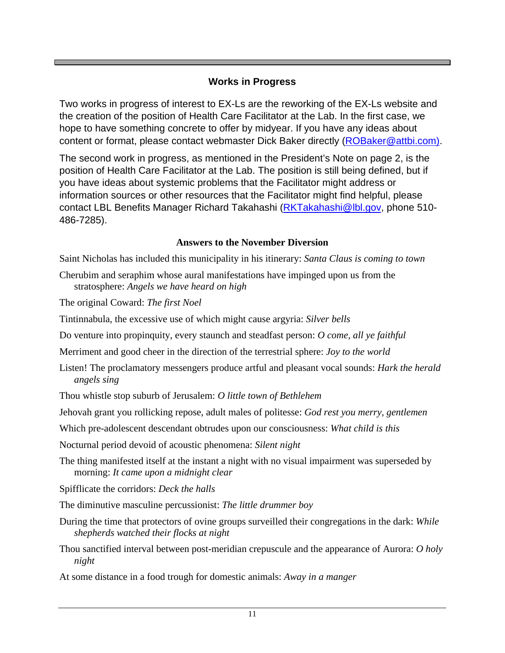#### **Works in Progress**

Two works in progress of interest to EX-Ls are the reworking of the EX-Ls website and the creation of the position of Health Care Facilitator at the Lab. In the first case, we hope to have something concrete to offer by midyear. If you have any ideas about content or format, please contact webmaster Dick Baker directly (ROBaker@attbi.com).

The second work in progress, as mentioned in the President's Note on page 2, is the position of Health Care Facilitator at the Lab. The position is still being defined, but if you have ideas about systemic problems that the Facilitator might address or information sources or other resources that the Facilitator might find helpful, please contact LBL Benefits Manager Richard Takahashi (RKTakahashi@lbl.gov, phone 510-486-7285).

#### **Answers to the November Diversion**

Saint Nicholas has included this municipality in his itinerary: *Santa Claus is coming to town*

- Cherubim and seraphim whose aural manifestations have impinged upon us from the stratosphere: *Angels we have heard on high*
- The original Coward: *The first Noel*
- Tintinnabula, the excessive use of which might cause argyria: *Silver bells*
- Do venture into propinquity, every staunch and steadfast person: *O come, all ye faithful*
- Merriment and good cheer in the direction of the terrestrial sphere: *Joy to the world*
- Listen! The proclamatory messengers produce artful and pleasant vocal sounds: *Hark the herald angels sing*
- Thou whistle stop suburb of Jerusalem: *O little town of Bethlehem*
- Jehovah grant you rollicking repose, adult males of politesse: *God rest you merry, gentlemen*
- Which pre-adolescent descendant obtrudes upon our consciousness: *What child is this*
- Nocturnal period devoid of acoustic phenomena: *Silent night*
- The thing manifested itself at the instant a night with no visual impairment was superseded by morning: *It came upon a midnight clear*
- Spifflicate the corridors: *Deck the halls*
- The diminutive masculine percussionist: *The little drummer boy*
- During the time that protectors of ovine groups surveilled their congregations in the dark: *While shepherds watched their flocks at night*
- Thou sanctified interval between post-meridian crepuscule and the appearance of Aurora: *O holy night*
- At some distance in a food trough for domestic animals: *Away in a manger*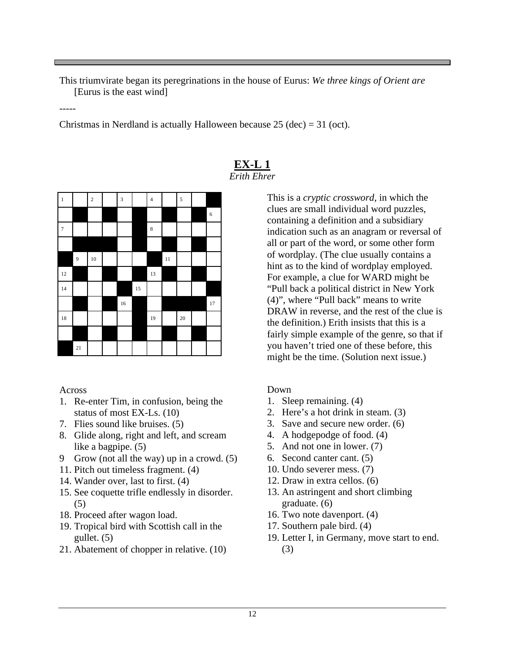This triumvirate began its peregrinations in the house of Eurus: *We three kings of Orient are* [Eurus is the east wind]

-----

Christmas in Nerdland is actually Halloween because  $25$  (dec) = 31 (oct).

| $\,1\,$        |                  | $\overline{\mathbf{c}}$ | $\sqrt{3}$ |    | $\overline{\mathbf{4}}$ |        | $\overline{5}$  |    |
|----------------|------------------|-------------------------|------------|----|-------------------------|--------|-----------------|----|
|                |                  |                         |            |    |                         |        |                 | 6  |
| $\overline{7}$ |                  |                         |            |    | $\,$ 8 $\,$             |        |                 |    |
|                |                  |                         |            |    |                         |        |                 |    |
|                | $\boldsymbol{9}$ | 10                      |            |    |                         | $11\,$ |                 |    |
| 12             |                  |                         |            |    | $13\,$                  |        |                 |    |
| 14             |                  |                         |            | 15 |                         |        |                 |    |
|                |                  |                         | $16\,$     |    |                         |        |                 | 17 |
| $18\,$         |                  |                         |            |    | 19                      |        | $\overline{20}$ |    |
|                |                  |                         |            |    |                         |        |                 |    |
|                | 21               |                         |            |    |                         |        |                 |    |

#### **EX-L 1** *Erith Ehrer*

This is a *cryptic crossword*, in which the clues are small individual word puzzles, containing a definition and a subsidiary indication such as an anagram or reversal of all or part of the word, or some other form of wordplay. (The clue usually contains a hint as to the kind of wordplay employed. For example, a clue for WARD might be "Pull back a political district in New York (4)", where "Pull back" means to write DRAW in reverse, and the rest of the clue is the definition.) Erith insists that this is a fairly simple example of the genre, so that if you haven't tried one of these before, this might be the time. (Solution next issue.)

#### Down

- 1. Sleep remaining. (4)
- 2. Here's a hot drink in steam. (3)
- 3. Save and secure new order. (6)
- 4. A hodgepodge of food. (4)
- 5. And not one in lower. (7)
- 6. Second canter cant. (5)
- 10. Undo severer mess. (7)
- 12. Draw in extra cellos. (6)
- 13. An astringent and short climbing graduate. (6)
- 16. Two note davenport. (4)
- 17. Southern pale bird. (4)
- 19. Letter I, in Germany, move start to end.
	- (3)

#### Across

- 1. Re-enter Tim, in confusion, being the status of most EX-Ls. (10)
- 7. Flies sound like bruises. (5)
- 8. Glide along, right and left, and scream like a bagpipe. (5)
- 9 Grow (not all the way) up in a crowd. (5)
- 11. Pitch out timeless fragment. (4)
- 14. Wander over, last to first. (4)
- 15. See coquette trifle endlessly in disorder. (5)
- 18. Proceed after wagon load.
- 19. Tropical bird with Scottish call in the gullet. (5)
- 21. Abatement of chopper in relative. (10)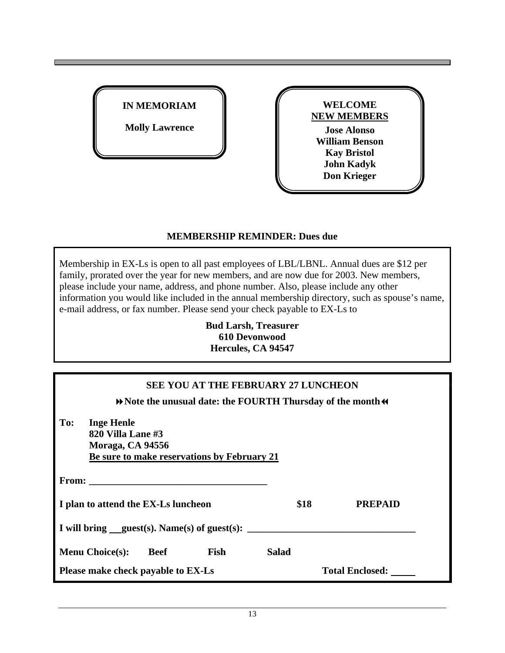| <b>IN MEMORIAM</b>    |  |
|-----------------------|--|
| <b>Molly Lawrence</b> |  |



#### **MEMBERSHIP REMINDER: Dues due**

Membership in EX-Ls is open to all past employees of LBL/LBNL. Annual dues are \$12 per family, prorated over the year for new members, and are now due for 2003. New members, please include your name, address, and phone number. Also, please include any other information you would like included in the annual membership directory, such as spouse's name, e-mail address, or fax number. Please send your check payable to EX-Ls to

> **Bud Larsh, Treasurer 610 Devonwood Hercules, CA 94547**

#### **SEE YOU AT THE FEBRUARY 27 LUNCHEON**  $\blacktriangleright$  Note the unusual date: the FOURTH Thursday of the month  $\blacktriangleleft$

| To:                                 | <b>Inge Henle</b><br>820 Villa Lane #3<br>Moraga, CA 94556<br>Be sure to make reservations by February 21                                                                                                                      |             |      |                                                |                |  |  |
|-------------------------------------|--------------------------------------------------------------------------------------------------------------------------------------------------------------------------------------------------------------------------------|-------------|------|------------------------------------------------|----------------|--|--|
|                                     | From: the contract of the contract of the contract of the contract of the contract of the contract of the contract of the contract of the contract of the contract of the contract of the contract of the contract of the cont |             |      |                                                |                |  |  |
| I plan to attend the EX-Ls luncheon |                                                                                                                                                                                                                                |             | \$18 |                                                | <b>PREPAID</b> |  |  |
|                                     |                                                                                                                                                                                                                                |             |      | I will bring $quest(s)$ . Name(s) of guest(s): |                |  |  |
|                                     | <b>Menu Choice(s):</b>                                                                                                                                                                                                         | <b>Beef</b> | Fish | <b>Salad</b>                                   |                |  |  |
| Please make check payable to EX-Ls  |                                                                                                                                                                                                                                |             |      | <b>Total Enclosed:</b>                         |                |  |  |